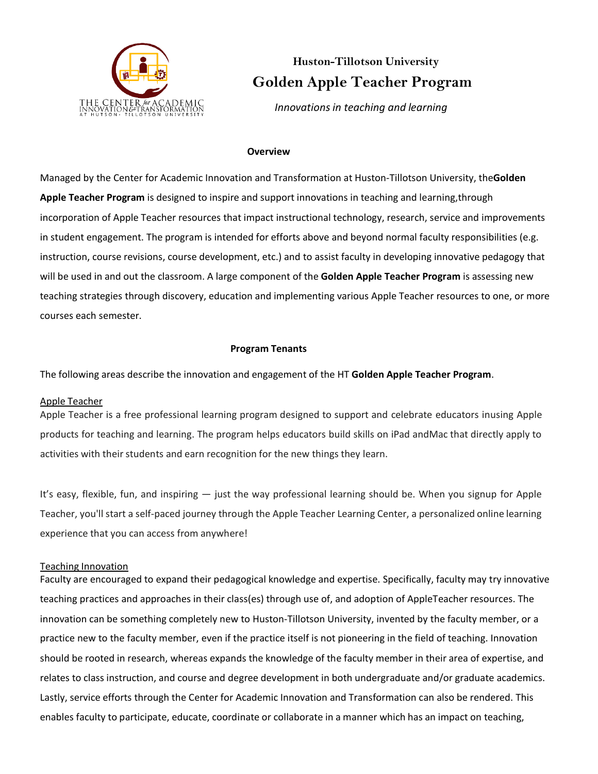

# **Huston-Tillotson University Golden Apple Teacher Program**

 *Innovations in teaching and learning*

#### **Overview**

Managed by the Center for Academic Innovation and Transformation at Huston-Tillotson University, the**Golden Apple Teacher Program** is designed to inspire and support innovations in teaching and learning,through incorporation of Apple Teacher resources that impact instructional technology, research, service and improvements in student engagement. The program is intended for efforts above and beyond normal faculty responsibilities (e.g. instruction, course revisions, course development, etc.) and to assist faculty in developing innovative pedagogy that will be used in and out the classroom. A large component of the **Golden Apple Teacher Program** is assessing new teaching strategies through discovery, education and implementing various Apple Teacher resources to one, or more courses each semester.

### **Program Tenants**

The following areas describe the innovation and engagement of the HT **Golden Apple Teacher Program**.

#### Apple Teacher

Apple Teacher is a free professional learning program designed to support and celebrate educators inusing Apple products for teaching and learning. The program helps educators build skills on iPad andMac that directly apply to activities with their students and earn recognition for the new things they learn.

It's easy, flexible, fun, and inspiring — just the way professional learning should be. When you signup for Apple Teacher, you'll start a self-paced journey through the Apple Teacher Learning Center, a personalized online learning experience that you can access from anywhere!

#### Teaching Innovation

Faculty are encouraged to expand their pedagogical knowledge and expertise. Specifically, faculty may try innovative teaching practices and approaches in their class(es) through use of, and adoption of AppleTeacher resources. The innovation can be something completely new to Huston-Tillotson University, invented by the faculty member, or a practice new to the faculty member, even if the practice itself is not pioneering in the field of teaching. Innovation should be rooted in research, whereas expands the knowledge of the faculty member in their area of expertise, and relates to class instruction, and course and degree development in both undergraduate and/or graduate academics. Lastly, service efforts through the Center for Academic Innovation and Transformation can also be rendered. This enables faculty to participate, educate, coordinate or collaborate in a manner which has an impact on teaching,